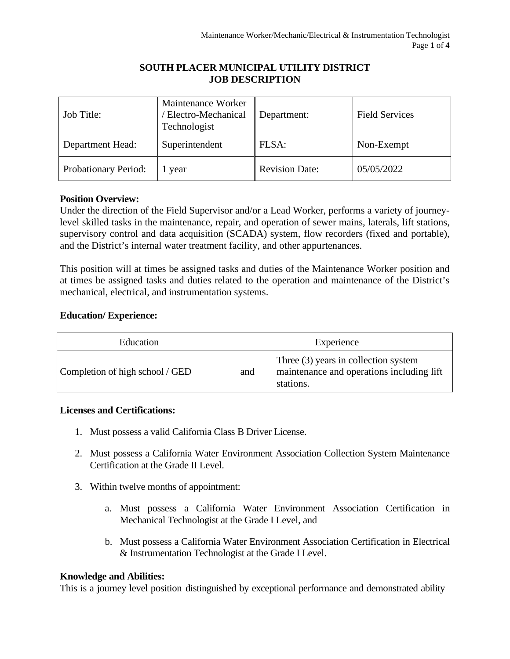## **SOUTH PLACER MUNICIPAL UTILITY DISTRICT JOB DESCRIPTION**

| Job Title:           | Maintenance Worker<br>Electro-Mechanical<br>Technologist | Department:           | <b>Field Services</b> |
|----------------------|----------------------------------------------------------|-----------------------|-----------------------|
| Department Head:     | Superintendent                                           | FLSA:                 | Non-Exempt            |
| Probationary Period: | year                                                     | <b>Revision Date:</b> | 05/05/2022            |

# **Position Overview:**

Under the direction of the Field Supervisor and/or a Lead Worker, performs a variety of journeylevel skilled tasks in the maintenance, repair, and operation of sewer mains, laterals, lift stations, supervisory control and data acquisition (SCADA) system, flow recorders (fixed and portable), and the District's internal water treatment facility, and other appurtenances.

This position will at times be assigned tasks and duties of the Maintenance Worker position and at times be assigned tasks and duties related to the operation and maintenance of the District's mechanical, electrical, and instrumentation systems.

# **Education/ Experience:**

| Education                       | Experience |                                                                                                  |  |
|---------------------------------|------------|--------------------------------------------------------------------------------------------------|--|
| Completion of high school / GED | and        | Three $(3)$ years in collection system<br>maintenance and operations including lift<br>stations. |  |

# **Licenses and Certifications:**

- 1. Must possess a valid California Class B Driver License.
- 2. Must possess a California Water Environment Association Collection System Maintenance Certification at the Grade II Level.
- 3. Within twelve months of appointment:
	- a. Must possess a California Water Environment Association Certification in Mechanical Technologist at the Grade I Level, and
	- b. Must possess a California Water Environment Association Certification in Electrical & Instrumentation Technologist at the Grade I Level.

# **Knowledge and Abilities:**

This is a journey level position distinguished by exceptional performance and demonstrated ability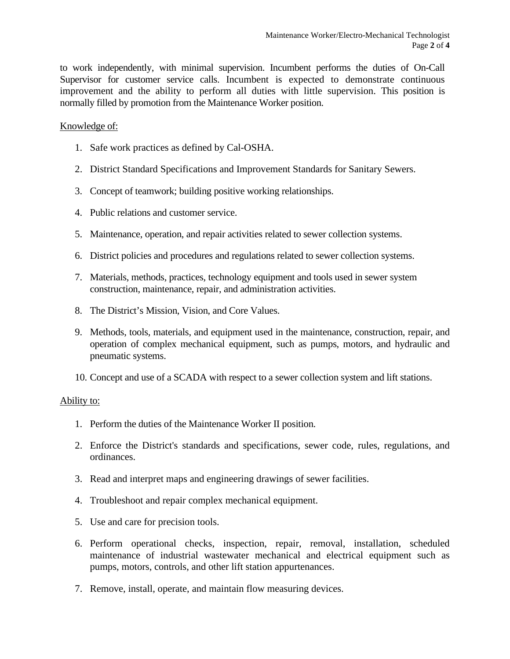to work independently, with minimal supervision. Incumbent performs the duties of On-Call Supervisor for customer service calls. Incumbent is expected to demonstrate continuous improvement and the ability to perform all duties with little supervision. This position is normally filled by promotion from the Maintenance Worker position.

### Knowledge of:

- 1. Safe work practices as defined by Cal-OSHA.
- 2. District Standard Specifications and Improvement Standards for Sanitary Sewers.
- 3. Concept of teamwork; building positive working relationships.
- 4. Public relations and customer service.
- 5. Maintenance, operation, and repair activities related to sewer collection systems.
- 6. District policies and procedures and regulations related to sewer collection systems.
- 7. Materials, methods, practices, technology equipment and tools used in sewer system construction, maintenance, repair, and administration activities.
- 8. The District's Mission, Vision, and Core Values.
- 9. Methods, tools, materials, and equipment used in the maintenance, construction, repair, and operation of complex mechanical equipment, such as pumps, motors, and hydraulic and pneumatic systems.
- 10. Concept and use of a SCADA with respect to a sewer collection system and lift stations.

### Ability to:

- 1. Perform the duties of the Maintenance Worker II position.
- 2. Enforce the District's standards and specifications, sewer code, rules, regulations, and ordinances.
- 3. Read and interpret maps and engineering drawings of sewer facilities.
- 4. Troubleshoot and repair complex mechanical equipment.
- 5. Use and care for precision tools.
- 6. Perform operational checks, inspection, repair, removal, installation, scheduled maintenance of industrial wastewater mechanical and electrical equipment such as pumps, motors, controls, and other lift station appurtenances.
- 7. Remove, install, operate, and maintain flow measuring devices.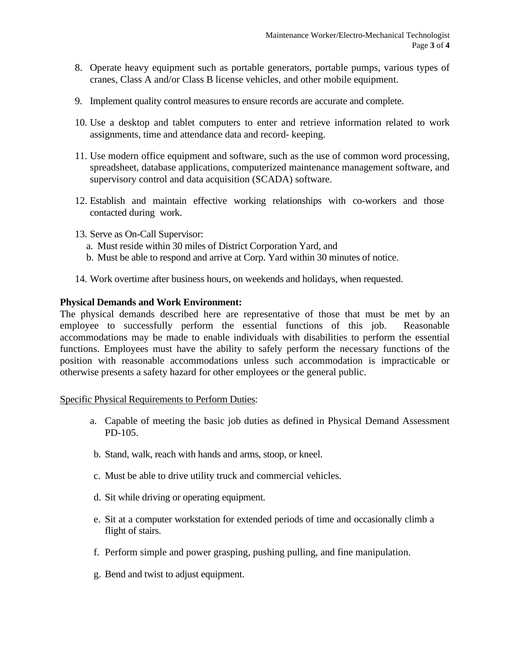- 8. Operate heavy equipment such as portable generators, portable pumps, various types of cranes, Class A and/or Class B license vehicles, and other mobile equipment.
- 9. Implement quality control measures to ensure records are accurate and complete.
- 10. Use a desktop and tablet computers to enter and retrieve information related to work assignments, time and attendance data and record- keeping.
- 11. Use modern office equipment and software, such as the use of common word processing, spreadsheet, database applications, computerized maintenance management software, and supervisory control and data acquisition (SCADA) software.
- 12. Establish and maintain effective working relationships with co-workers and those contacted during work.
- 13. Serve as On-Call Supervisor:
	- a. Must reside within 30 miles of District Corporation Yard, and
	- b. Must be able to respond and arrive at Corp. Yard within 30 minutes of notice.
- 14. Work overtime after business hours, on weekends and holidays, when requested.

### **Physical Demands and Work Environment:**

The physical demands described here are representative of those that must be met by an employee to successfully perform the essential functions of this job. Reasonable accommodations may be made to enable individuals with disabilities to perform the essential functions. Employees must have the ability to safely perform the necessary functions of the position with reasonable accommodations unless such accommodation is impracticable or otherwise presents a safety hazard for other employees or the general public.

### Specific Physical Requirements to Perform Duties:

- a. Capable of meeting the basic job duties as defined in Physical Demand Assessment PD-105.
- b. Stand, walk, reach with hands and arms, stoop, or kneel.
- c. Must be able to drive utility truck and commercial vehicles.
- d. Sit while driving or operating equipment.
- e. Sit at a computer workstation for extended periods of time and occasionally climb a flight of stairs.
- f. Perform simple and power grasping, pushing pulling, and fine manipulation.
- g. Bend and twist to adjust equipment.